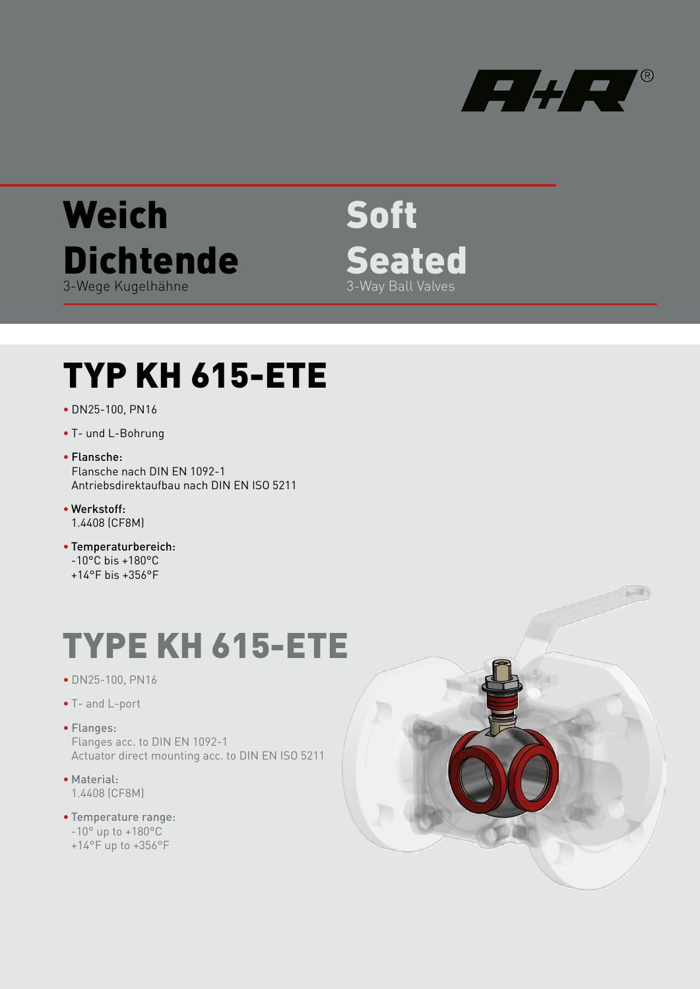

# **Weich Dichtende** 3-Wege Kugelhähne

Soft Seated 3-Way Ball Valves

# TYP KH 615-ETE

- DN25-100, PN16
- T- und L-Bohrung
- Flansche: Flansche nach DIN EN 1092-1 Antriebsdirektaufbau nach DIN EN ISO 5211
- Werkstoff: 1.4408 (CF8M)
- Temperaturbereich: -10°C bis +180°C
- $+14^{\circ}$ F bis  $+356^{\circ}$ F

# TYPE KH 615-ETE

- DN25-100, PN16
- T- and L-port
- Flanges: Flanges acc. to DIN EN 1092-1 Actuator direct mounting acc. to DIN EN ISO 5211
- Material: 1.4408 (CF8M)
- Temperature range:
	- -10° up to +180°C
	- +14°F up to +356°F

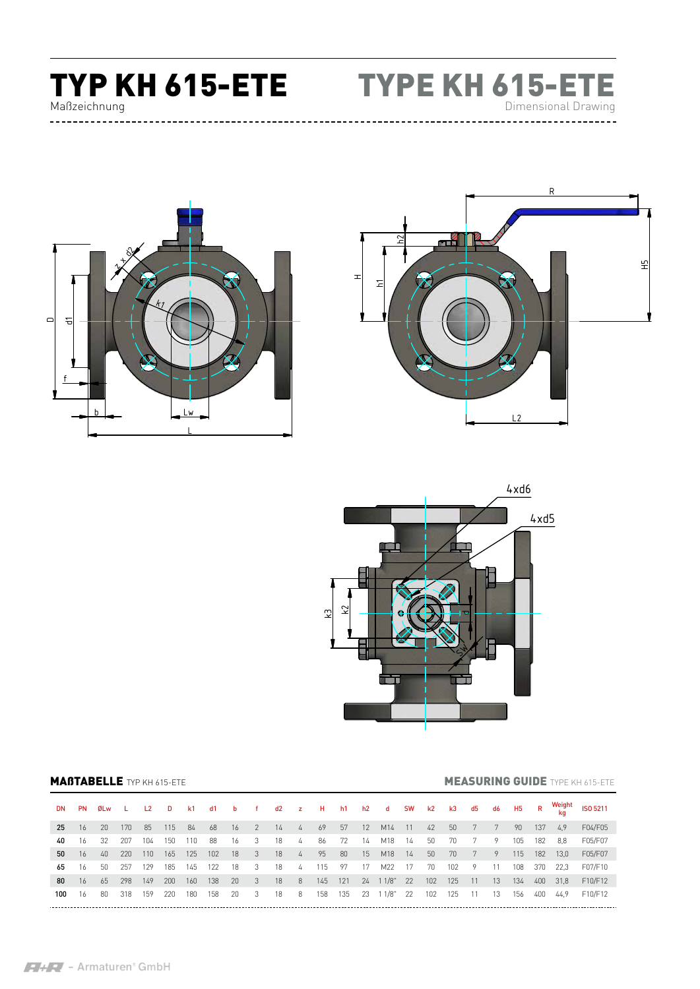# TYP KH 615-ETE TYPE KH 615-ETE Maßzeichnung



Dimensional Drawing

H5





### **MAßTABELLE** TYP KH 615-ETE **MEASURING GUIDE** TYPE KH 615-ETE

| DN.   | PN   | ØLw L |     | L <sub>2</sub> | <b>D</b> |       |     |        |                            |      |                |       |     |      | k1 d1 b f d2 z H h1 h2 d SW k2 k3 d5 d6 H5 R |      |                 |       |       |      |     |     | Weight | ISO 5211 |
|-------|------|-------|-----|----------------|----------|-------|-----|--------|----------------------------|------|----------------|-------|-----|------|----------------------------------------------|------|-----------------|-------|-------|------|-----|-----|--------|----------|
| 25    | 16   | 20    | 170 | 85             | 115      | 84 68 |     | $16$ 2 |                            | 14   | $-4$           | 69    |     |      | 57 12 M14 11                                 |      | 42              | 50    | 7     | 7    | 90  | 137 | 4.9    | F04/F05  |
| 40    | 16   | -32   | 207 | 104            | 150      | 110   | 88  | - 16   | $\overline{\phantom{a}}$   | 18   | 4              | 86    | 72  | - 14 | M18                                          | - 14 | 50              | 70    |       | - 9  | 105 | 182 | 8.8    | F05/F07  |
| 50    | 16   | 40    | 220 | 110            | 165      | 125   | 102 | - 18   | $\overline{\phantom{a}}$ 3 | - 18 | $\frac{1}{4}$  | $-95$ | 80  | 15   | M18                                          | 14   | 50 <sub>2</sub> | 70    | 7     | - 9  | 115 | 182 | 13.0   | F05/F07  |
| 65 16 |      | 50    | 257 | 129            | 185      | 145   | 122 | - 18   | - 3                        | 18   | $\frac{1}{4}$  | 115   | 97  | 17   | M22                                          | 17   | 70              | 102   | 9     | 11   | 108 | 370 | 22.3   | F07/F10  |
| 80    | - 16 | 65    | 298 | 149            | 200      | 160   | 138 | - 20   | $\overline{\mathbf{3}}$    | 18   | 8 <sup>2</sup> | 145   | 121 |      | 24 1 1/8" 22                                 |      | 102             | 125   | 11    | - 13 | 134 | 400 | 31.8   | F10/F12  |
| 100   | -16  | 80    | 318 | 159            | 220      | 180   | 158 | -20    | - 3                        | 18   | 8              | 158   | 135 |      | 23 11/8"                                     | 22   | 102             | - 125 | $-11$ | - 13 | 156 | 400 | 44.9   | F10/F12  |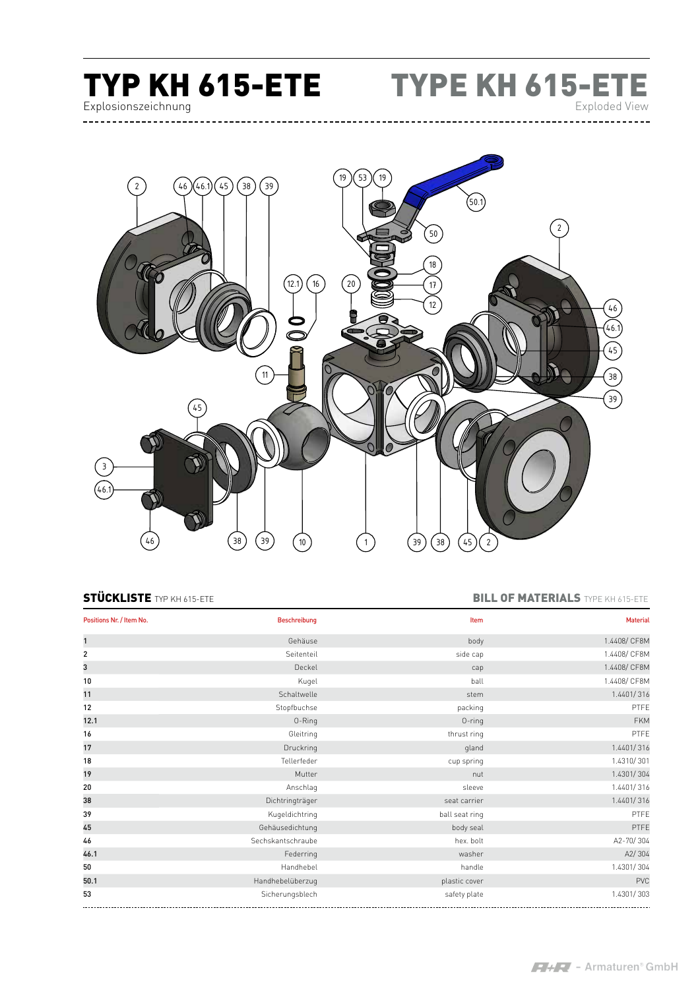

TYP KH 615-ETE TYPE KH 615-ETE Exploded View



## STÜCKLISTE TYP KH 615-ETE **BILL OF MATERIALS** TYPE KH 615-ETE

| Positions Nr. / Item No. | <b>Beschreibung</b> | Item           | <b>Material</b> |
|--------------------------|---------------------|----------------|-----------------|
| $\mathbf{1}$             | Gehäuse             | body           | 1.4408/ CF8M    |
| $\overline{2}$           | Seitenteil          | side cap       | 1.4408/ CF8M    |
| 3                        | Deckel              | cap            | 1.4408/ CF8M    |
| 10                       | Kugel               | ball           | 1.4408/ CF8M    |
| 11                       | Schaltwelle         | stem           | 1.4401/316      |
| 12                       | Stopfbuchse         | packing        | PTFE            |
| 12.1                     | 0-Ring              | $0$ -ring      | <b>FKM</b>      |
| 16                       | Gleitring           | thrust ring    | PTFE            |
| 17                       | Druckring           | gland          | 1.4401/316      |
| 18                       | Tellerfeder         | cup spring     | 1.4310/301      |
| 19                       | Mutter              | nut            | 1.4301/304      |
| 20                       | Anschlag            | sleeve         | 1.4401/316      |
| 38                       | Dichtringträger     | seat carrier   | 1.4401/316      |
| 39                       | Kugeldichtring      | ball seat ring | PTFE            |
| 45                       | Gehäusedichtung     | body seal      | PTFE            |
| 46                       | Sechskantschraube   | hex. bolt      | A2-70/304       |
| 46.1                     | Federring           | washer         | A2/304          |
| 50                       | Handhebel           | handle         | 1.4301/304      |
| 50.1                     | Handhebelüberzug    | plastic cover  | PVC             |
| 53                       | Sicherungsblech     | safety plate   | 1.4301/303      |